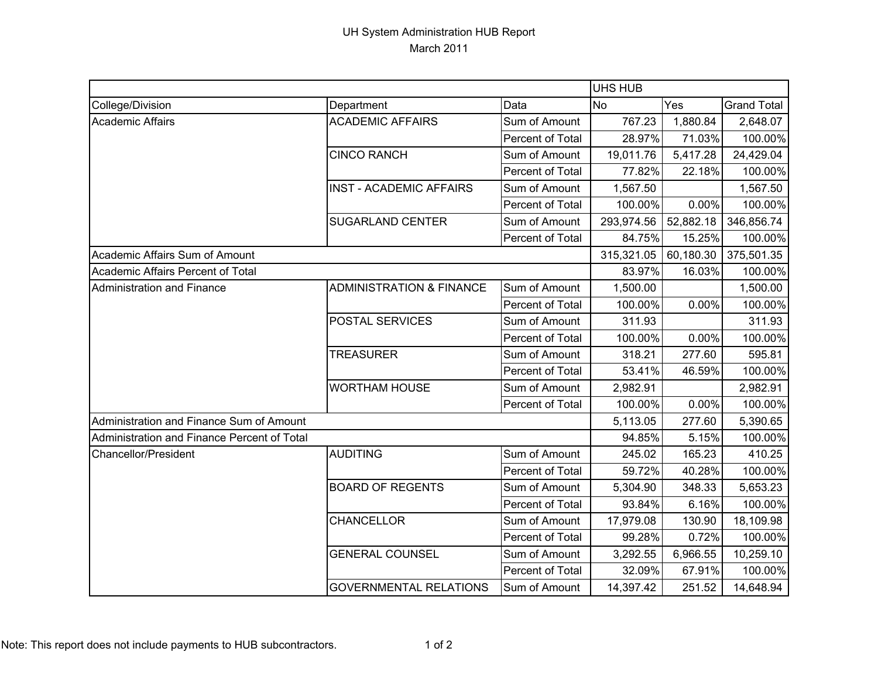## UH System Administration HUB Report March 2011

|                                             |                                     |                  | UHS HUB    |           |                    |
|---------------------------------------------|-------------------------------------|------------------|------------|-----------|--------------------|
| College/Division                            | Department                          | Data             | No         | Yes       | <b>Grand Total</b> |
| Academic Affairs                            | <b>ACADEMIC AFFAIRS</b>             | Sum of Amount    | 767.23     | 1,880.84  | 2,648.07           |
|                                             |                                     | Percent of Total | 28.97%     | 71.03%    | 100.00%            |
|                                             | <b>CINCO RANCH</b>                  | Sum of Amount    | 19,011.76  | 5,417.28  | 24,429.04          |
|                                             |                                     | Percent of Total | 77.82%     | 22.18%    | 100.00%            |
|                                             | <b>INST - ACADEMIC AFFAIRS</b>      | Sum of Amount    | 1,567.50   |           | 1,567.50           |
|                                             |                                     | Percent of Total | 100.00%    | 0.00%     | 100.00%            |
|                                             | <b>SUGARLAND CENTER</b>             | Sum of Amount    | 293,974.56 | 52,882.18 | 346,856.74         |
|                                             |                                     | Percent of Total | 84.75%     | 15.25%    | 100.00%            |
| Academic Affairs Sum of Amount              |                                     |                  | 315,321.05 | 60,180.30 | 375,501.35         |
| Academic Affairs Percent of Total           |                                     |                  | 83.97%     | 16.03%    | 100.00%            |
| Administration and Finance                  | <b>ADMINISTRATION &amp; FINANCE</b> | Sum of Amount    | 1,500.00   |           | 1,500.00           |
|                                             |                                     | Percent of Total | 100.00%    | 0.00%     | 100.00%            |
|                                             | POSTAL SERVICES                     | Sum of Amount    | 311.93     |           | 311.93             |
|                                             |                                     | Percent of Total | 100.00%    | 0.00%     | 100.00%            |
|                                             | <b>TREASURER</b>                    | Sum of Amount    | 318.21     | 277.60    | 595.81             |
|                                             |                                     | Percent of Total | 53.41%     | 46.59%    | 100.00%            |
|                                             | <b>WORTHAM HOUSE</b>                | Sum of Amount    | 2,982.91   |           | 2,982.91           |
|                                             |                                     | Percent of Total | 100.00%    | 0.00%     | 100.00%            |
| Administration and Finance Sum of Amount    |                                     |                  | 5,113.05   | 277.60    | 5,390.65           |
| Administration and Finance Percent of Total |                                     |                  | 94.85%     | 5.15%     | 100.00%            |
| Chancellor/President                        | <b>AUDITING</b>                     | Sum of Amount    | 245.02     | 165.23    | 410.25             |
|                                             |                                     | Percent of Total | 59.72%     | 40.28%    | 100.00%            |
|                                             | <b>BOARD OF REGENTS</b>             | Sum of Amount    | 5,304.90   | 348.33    | 5,653.23           |
|                                             |                                     | Percent of Total | 93.84%     | 6.16%     | 100.00%            |
|                                             | CHANCELLOR                          | Sum of Amount    | 17,979.08  | 130.90    | 18,109.98          |
|                                             |                                     | Percent of Total | 99.28%     | 0.72%     | 100.00%            |
|                                             | <b>GENERAL COUNSEL</b>              | Sum of Amount    | 3,292.55   | 6,966.55  | 10,259.10          |
|                                             |                                     | Percent of Total | 32.09%     | 67.91%    | 100.00%            |
|                                             | <b>GOVERNMENTAL RELATIONS</b>       | Sum of Amount    | 14,397.42  | 251.52    | 14,648.94          |